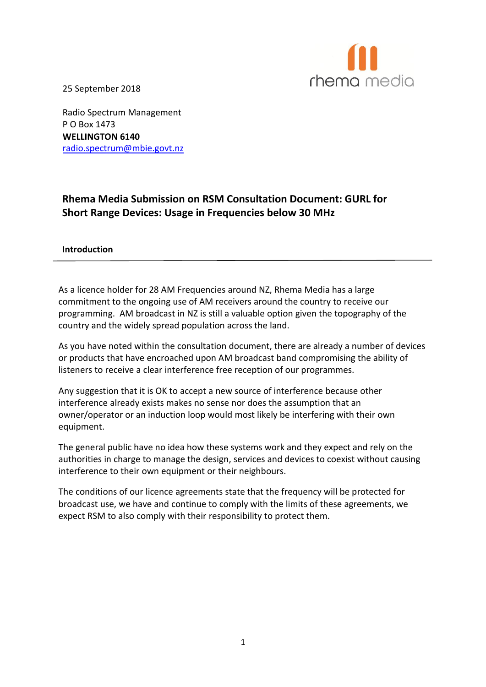

25 September 2018

Radio Spectrum Management P O Box 1473 **WELLINGTON 6140** [radio.spectrum@mbie.govt.nz](mailto:radio.spectrum@mbie.govt.nz)

# **Rhema Media Submission on RSM Consultation Document: GURL for Short Range Devices: Usage in Frequencies below 30 MHz**

#### **[Introduction](mailto:radio.spectrum@mbie.govt.nz)**

As a licence holder for 28 AM Frequencies around NZ, Rhema Media has a large commitment to the ongoing use of AM receivers around the country to receive our programming. AM broadcast in NZ is still a valuable option given the topography of the country and the widely spread population across the land.

As you have noted within the consultation document, there are already a number of devices or products that have encroached upon AM broadcast band compromising the ability of listeners to receive a clear interference free reception of our programmes.

Any suggestion that it is OK to accept a new source of interference because other interference already exists makes no sense nor does the assumption that an owner/operator or an induction loop would most likely be interfering with their own equipment.

The general public have no idea how these systems work and they expect and rely on the authorities in charge to manage the design, services and devices to coexist without causing interference to their own equipment or their neighbours.

The conditions of our licence agreements state that the frequency will be protected for broadcast use, we have and continue to comply with the limits of these agreements, we expect RSM to also comply with their responsibility to protect them.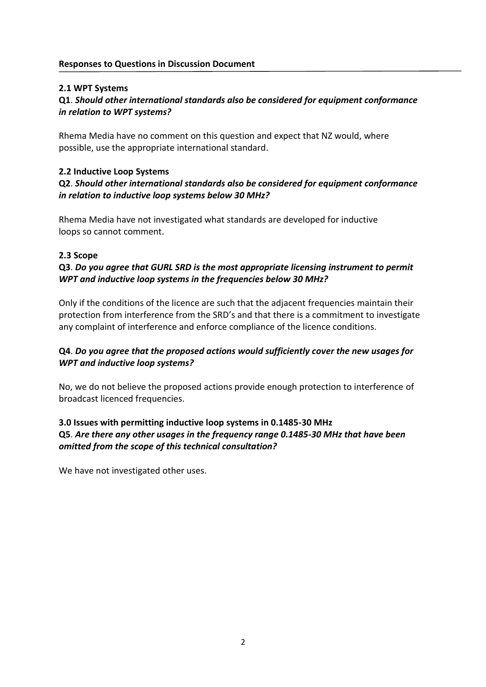#### **2.1 WPT Systems**

### **Q1**. *Should other international standards also be considered for equipment conformance in relation to WPT systems?*

Rhema Media have no comment on this question and expect that NZ would, where possible, use the appropriate international standard.

#### **2.2 Inductive Loop Systems**

# **Q2**. *Should other international standards also be considered for equipment conformance in relation to inductive loop systems below 30 MHz?*

Rhema Media have not investigated what standards are developed for inductive loops so cannot comment.

#### **2.3 Scope**

# **Q3**. *Do you agree that GURL SRD is the most appropriate licensing instrument to permit WPT and inductive loop systems in the frequencies below 30 MHz?*

Only if the conditions of the licence are such that the adjacent frequencies maintain their protection from interference from the SRD's and that there is a commitment to investigate any complaint of interference and enforce compliance of the licence conditions.

### **Q4**. *Do you agree that the proposed actions would sufficiently cover the new usages for WPT and inductive loop systems?*

No, we do not believe the proposed actions provide enough protection to interference of broadcast licenced frequencies.

# **3.0 Issues with permitting inductive loop systems in 0.1485-30 MHz Q5**. *Are there any other usages in the frequency range 0.1485-30 MHz that have been omitted from the scope of this technical consultation?*

We have not investigated other uses.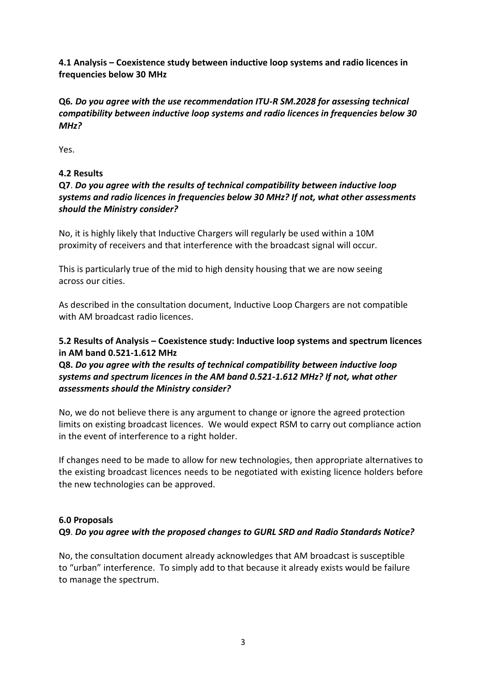**4.1 Analysis – Coexistence study between inductive loop systems and radio licences in frequencies below 30 MHz**

**Q6***. Do you agree with the use recommendation ITU-R SM.2028 for assessing technical compatibility between inductive loop systems and radio licences in frequencies below 30 MHz?*

Yes.

### **4.2 Results**

# **Q7**. *Do you agree with the results of technical compatibility between inductive loop systems and radio licences in frequencies below 30 MHz? If not, what other assessments should the Ministry consider?*

No, it is highly likely that Inductive Chargers will regularly be used within a 10M proximity of receivers and that interference with the broadcast signal will occur.

This is particularly true of the mid to high density housing that we are now seeing across our cities.

As described in the consultation document, Inductive Loop Chargers are not compatible with AM broadcast radio licences.

# **5.2 Results of Analysis – Coexistence study: Inductive loop systems and spectrum licences in AM band 0.521-1.612 MHz**

# **Q8.** *Do you agree with the results of technical compatibility between inductive loop systems and spectrum licences in the AM band 0.521-1.612 MHz? If not, what other assessments should the Ministry consider?*

No, we do not believe there is any argument to change or ignore the agreed protection limits on existing broadcast licences. We would expect RSM to carry out compliance action in the event of interference to a right holder.

If changes need to be made to allow for new technologies, then appropriate alternatives to the existing broadcast licences needs to be negotiated with existing licence holders before the new technologies can be approved.

### **6.0 Proposals**

### **Q9**. *Do you agree with the proposed changes to GURL SRD and Radio Standards Notice?*

No, the consultation document already acknowledges that AM broadcast is susceptible to "urban" interference. To simply add to that because it already exists would be failure to manage the spectrum.